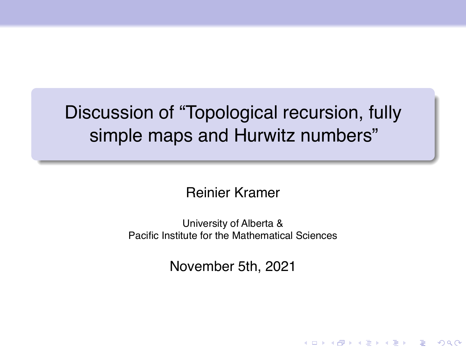# Discussion of "Topological recursion, fully simple maps and Hurwitz numbers"

Reinier Kramer

University of Alberta & Pacific Institute for the Mathematical Sciences

November 5th, 2021

KEL KARIKIEN E VOOR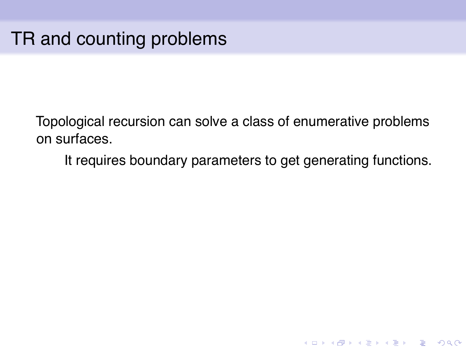It requires boundary parameters to get generating functions.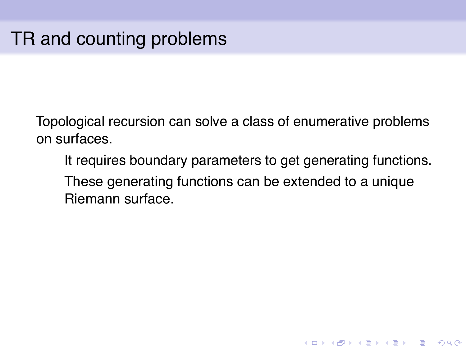It requires boundary parameters to get generating functions. These generating functions can be extended to a unique Riemann surface.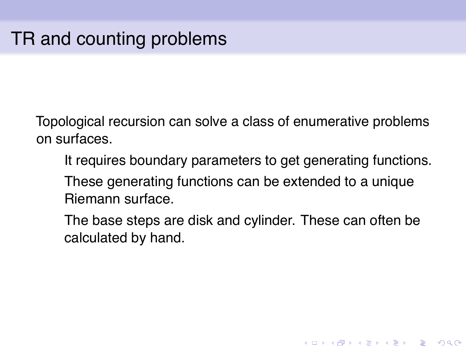It requires boundary parameters to get generating functions. These generating functions can be extended to a unique Riemann surface.

The base steps are disk and cylinder. These can often be calculated by hand.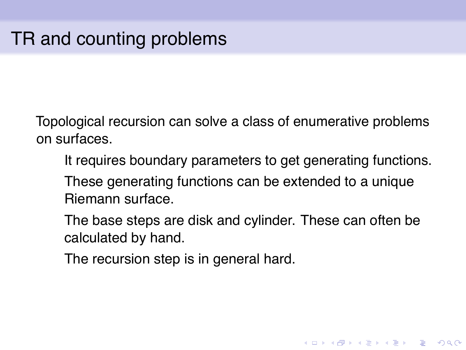It requires boundary parameters to get generating functions. These generating functions can be extended to a unique Riemann surface.

The base steps are disk and cylinder. These can often be calculated by hand.

**KOD KOD KED KED E VAN** 

The recursion step is in general hard.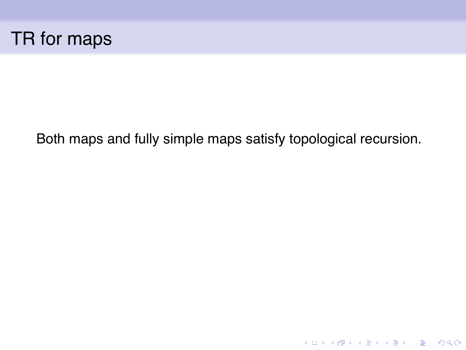

Both maps and fully simple maps satisfy topological recursion.

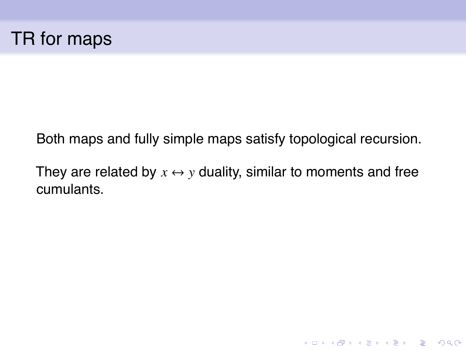

Both maps and fully simple maps satisfy topological recursion.

They are related by  $x \leftrightarrow y$  duality, similar to moments and free cumulants.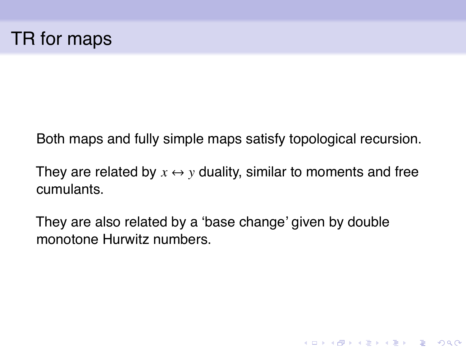Both maps and fully simple maps satisfy topological recursion.

They are related by  $x \leftrightarrow y$  duality, similar to moments and free cumulants.

**KOD KOD KED KED E VAN** 

They are also related by a 'base change' given by double monotone Hurwitz numbers.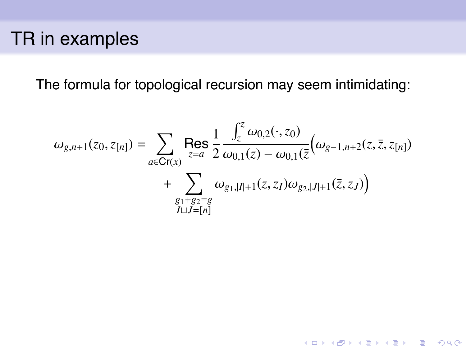## TR in examples

The formula for topological recursion may seem intimidating:

$$
\omega_{g,n+1}(z_0, z_{[n]}) = \sum_{a \in \mathbf{Cr}(x)} \text{Res}_{z=a} \frac{1}{2} \frac{\int_{\bar{z}}^z \omega_{0,2}(\cdot, z_0)}{\omega_{0,1}(z) - \omega_{0,1}(\bar{z})} \left(\omega_{g-1,n+2}(z, \bar{z}, z_{[n]}) + \sum_{\substack{g_1+g_2=g\\I \sqcup J=[n]}} \omega_{g_1,|I|+1}(z, z_I) \omega_{g_2,|J|+1}(\bar{z}, z_J)\right)
$$

KO KKO K S A B K S B K V S A V K S B K S B K S A V S B K S B K S B K S B K S B K S B K S B K S B K S B K S B K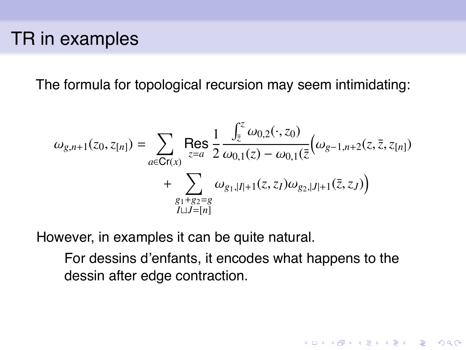#### TR in examples

The formula for topological recursion may seem intimidating:

$$
\omega_{g,n+1}(z_0, z_{[n]}) = \sum_{a \in \mathbf{Cr}(x)} \text{Res}_{z=a} \frac{1}{2} \frac{\int_{\bar{z}}^z \omega_{0,2}(\cdot, z_0)}{\omega_{0,1}(z) - \omega_{0,1}(\bar{z})} \left(\omega_{g-1,n+2}(z, \bar{z}, z_{[n]}) + \sum_{\substack{g_1+g_2=g\\I \sqcup J=[n]}} \omega_{g_1,|I|+1}(z, z_I) \omega_{g_2,|J|+1}(\bar{z}, z_J)\right)
$$

However, in examples it can be quite natural.

For dessins d'enfants, it encodes what happens to the dessin after edge contraction.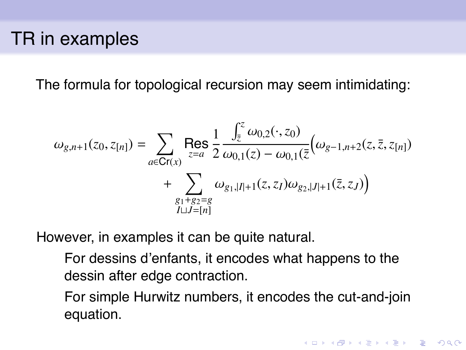### TR in examples

The formula for topological recursion may seem intimidating:

$$
\omega_{g,n+1}(z_0, z_{[n]}) = \sum_{a \in \mathbf{Cr}(x)} \text{Res}_{z=a} \frac{1}{2} \frac{\int_{\bar{z}}^{z} \omega_{0,2}(\cdot, z_0)}{\omega_{0,1}(z) - \omega_{0,1}(\bar{z})} \left(\omega_{g-1,n+2}(z, \bar{z}, z_{[n]}) + \sum_{\substack{g_1+g_2=g\\I \sqcup J=[n]}} \omega_{g_1,|I|+1}(z, z_I) \omega_{g_2,|J|+1}(\bar{z}, z_J)\right)
$$

However, in examples it can be quite natural.

For dessins d'enfants, it encodes what happens to the dessin after edge contraction.

For simple Hurwitz numbers, it encodes the cut-and-join equation.

**KORK EX KEY EL POLO**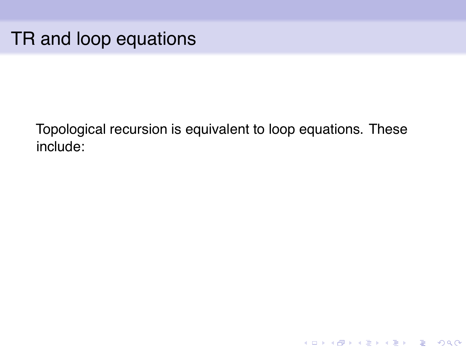### TR and loop equations

Topological recursion is equivalent to loop equations. These include: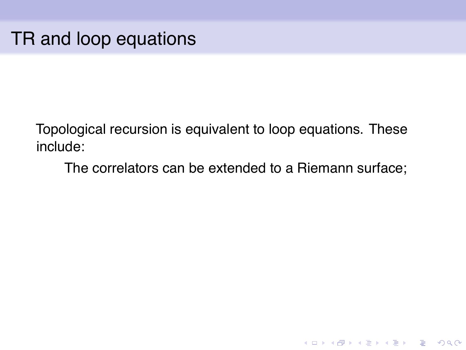The correlators can be extended to a Riemann surface;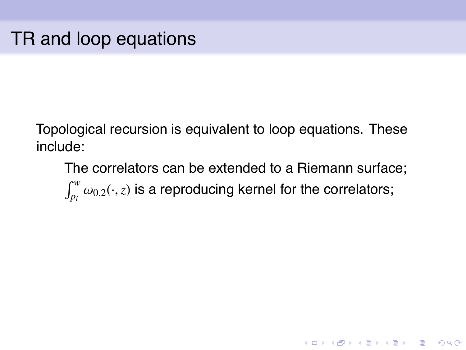The correlators can be extended to a Riemann surface;  $\int_{p_i}^w \omega_{0,2}(\cdot,z)$  is a reproducing kernel for the correlators;

**KORK ERKER ADAM ADA**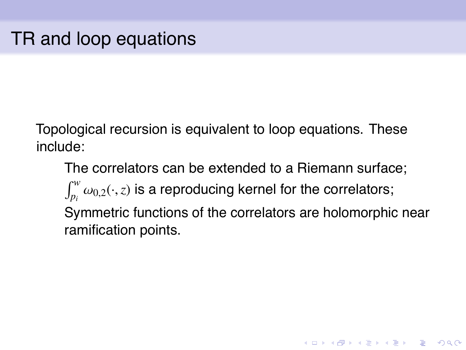The correlators can be extended to a Riemann surface;  $\int_{p_i}^w \omega_{0,2}(\cdot,z)$  is a reproducing kernel for the correlators; Symmetric functions of the correlators are holomorphic near ramification points.

**KORK ERKER ADAM ADA**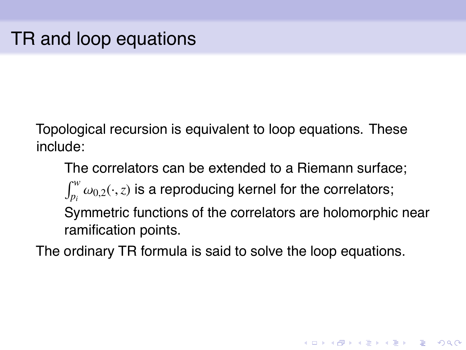The correlators can be extended to a Riemann surface;  $\int_{p_i}^w \omega_{0,2}(\cdot,z)$  is a reproducing kernel for the correlators; Symmetric functions of the correlators are holomorphic near ramification points.

**KORK ERKER ADAM ADA** 

The ordinary TR formula is said to solve the loop equations.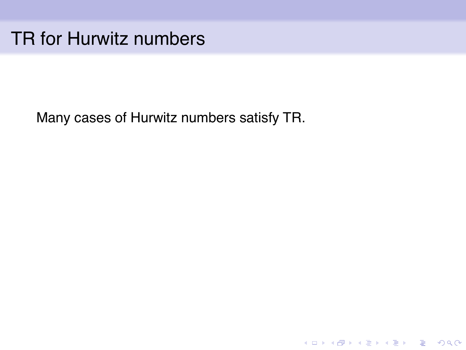## TR for Hurwitz numbers

Many cases of Hurwitz numbers satisfy TR.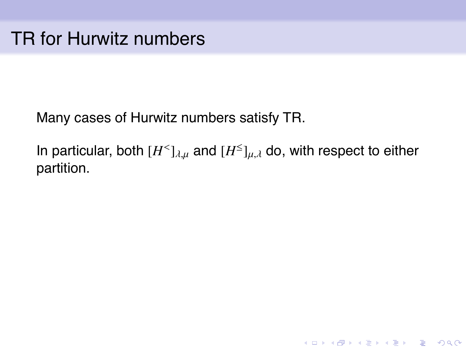Many cases of Hurwitz numbers satisfy TR.

In particular, both  $[H<sup>1</sup>]_{\lambda,\mu}$  and  $[H<sup>1</sup>]_{\mu,\lambda}$  do, with respect to either partition.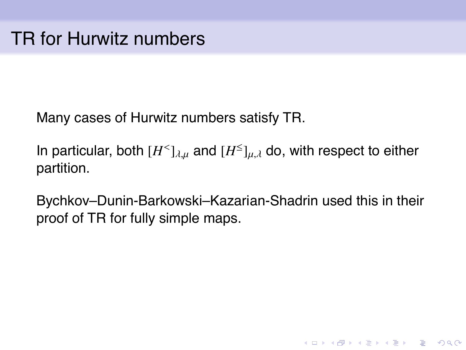Many cases of Hurwitz numbers satisfy TR.

In particular, both  $[H<sup>1</sup>]_{\lambda,\mu}$  and  $[H<sup>1</sup>]_{\mu,\lambda}$  do, with respect to either partition.

Bychkov–Dunin-Barkowski–Kazarian-Shadrin used this in their proof of TR for fully simple maps.

**KORKARA KERKER DAGA**